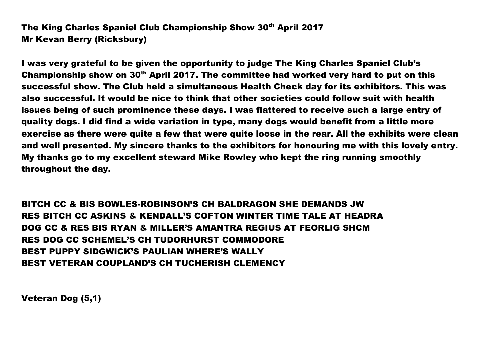The King Charles Spaniel Club Championship Show 30th April 2017 Mr Kevan Berry (Ricksbury)

I was very grateful to be given the opportunity to judge The King Charles Spaniel Club's Championship show on  $30<sup>th</sup>$  April 2017. The committee had worked very hard to put on this successful show. The Club held a simultaneous Health Check day for its exhibitors. This was also successful. It would be nice to think that other societies could follow suit with health issues being of such prominence these days. I was flattered to receive such a large entry of quality dogs. I did find a wide variation in type, many dogs would benefit from a little more exercise as there were quite a few that were quite loose in the rear. All the exhibits were clean and well presented. My sincere thanks to the exhibitors for honouring me with this lovely entry. My thanks go to my excellent steward Mike Rowley who kept the ring running smoothly throughout the day.

BITCH CC & BIS BOWLES-ROBINSON'S CH BALDRAGON SHE DEMANDS JW RES BITCH CC ASKINS & KENDALL'S COFTON WINTER TIME TALE AT HEADRA DOG CC & RES BIS RYAN & MILLER'S AMANTRA REGIUS AT FEORLIG SHCM RES DOG CC SCHEMEL'S CH TUDORHURST COMMODORE BEST PUPPY SIDGWICK'S PAULIAN WHERE'S WALLY BEST VETERAN COUPLAND'S CH TUCHERISH CLEMENCY

Veteran Dog (5,1)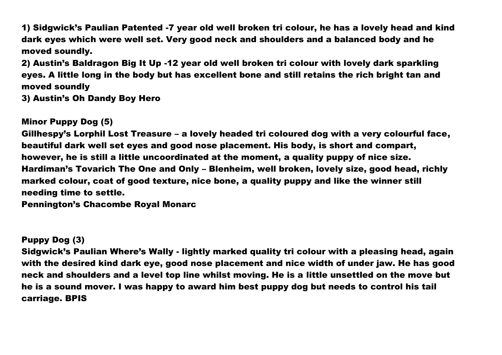1) Sidgwick's Paulian Patented -7 year old well broken tri colour, he has a lovely head and kind dark eyes which were well set. Very good neck and shoulders and a balanced body and he moved soundly.

2) Austin's Baldragon Big It Up -12 year old well broken tri colour with lovely dark sparkling eyes. A little long in the body but has excellent bone and still retains the rich bright tan and moved soundly

3) Austin's Oh Dandy Boy Hero

### Minor Puppy Dog (5)

Gillhespy's Lorphil Lost Treasure – a lovely headed tri coloured dog with a very colourful face, beautiful dark well set eyes and good nose placement. His body, is short and compart, however, he is still a little uncoordinated at the moment, a quality puppy of nice size. Hardiman's Tovarich The One and Only – Blenheim, well broken, lovely size, good head, richly marked colour, coat of good texture, nice bone, a quality puppy and like the winner still needing time to settle.

Pennington's Chacombe Royal Monarc

#### Puppy Dog (3)

Sidgwick's Paulian Where's Wally - lightly marked quality tri colour with a pleasing head, again with the desired kind dark eye, good nose placement and nice width of under jaw. He has good neck and shoulders and a level top line whilst moving. He is a little unsettled on the move but he is a sound mover. I was happy to award him best puppy dog but needs to control his tail carriage. BPIS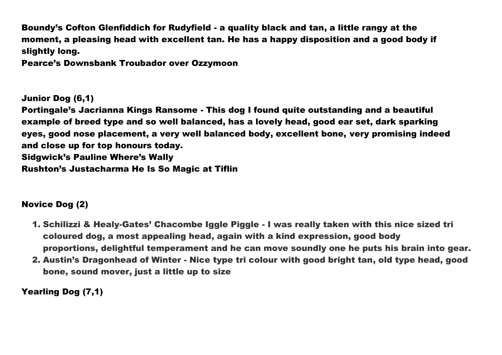Boundy's Cofton Glenfiddich for Rudyfield - a quality black and tan, a little rangy at the moment, a pleasing head with excellent tan. He has a happy disposition and a good body if slightly long.

Pearce's Downsbank Troubador over Ozzymoon

Junior Dog (6,1)

Portingale's Jacrianna Kings Ransome - This dog I found quite outstanding and a beautiful example of breed type and so well balanced, has a lovely head, good ear set, dark sparking eyes, good nose placement, a very well balanced body, excellent bone, very promising indeed and close up for top honours today. Sidgwick's Pauline Where's Wally Rushton's Justacharma He Is So Magic at Tiflin

# Novice Dog (2)

- 1. Schilizzi & Healy-Gates' Chacombe Iggle Piggle I was really taken with this nice sized tri coloured dog, a most appealing head, again with a kind expression, good body proportions, delightful temperament and he can move soundly one he puts his brain into gear.
- 2. Austin's Dragonhead of Winter Nice type tri colour with good bright tan, old type head, good bone, sound mover, just a little up to size

Yearling Dog (7,1)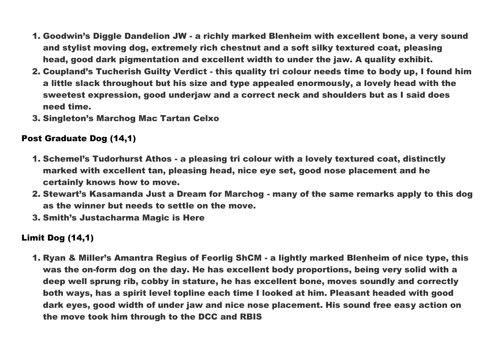- 1. Goodwin's Diggle Dandelion JW a richly marked Blenheim with excellent bone, a very sound and stylist moving dog, extremely rich chestnut and a soft silky textured coat, pleasing head, good dark pigmentation and excellent width to under the jaw. A quality exhibit.
- 2. Coupland's Tucherish Guilty Verdict this quality tri colour needs time to body up, I found him a little slack throughout but his size and type appealed enormously, a lovely head with the sweetest expression, good underjaw and a correct neck and shoulders but as I said does need time.
- 3. Singleton's Marchog Mac Tartan Celxo

## Post Graduate Dog (14,1)

- 1. Schemel's Tudorhurst Athos a pleasing tri colour with a lovely textured coat, distinctly marked with excellent tan, pleasing head, nice eye set, good nose placement and he certainly knows how to move.
- 2. Stewart's Kasamanda Just a Dream for Marchog many of the same remarks apply to this dog as the winner but needs to settle on the move.
- 3. Smith's Justacharma Magic is Here

# Limit Dog (14,1)

1. Ryan & Miller's Amantra Regius of Feorlig ShCM - a lightly marked Blenheim of nice type, this was the on-form dog on the day. He has excellent body proportions, being very solid with a deep well sprung rib, cobby in stature, he has excellent bone, moves soundly and correctly both ways, has a spirit level topline each time I looked at him. Pleasant headed with good dark eyes, good width of under jaw and nice nose placement. His sound free easy action on the move took him through to the DCC and RBIS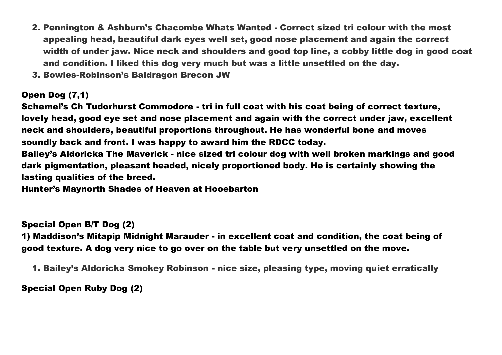- 2. Pennington & Ashburn's Chacombe Whats Wanted Correct sized tri colour with the most appealing head, beautiful dark eyes well set, good nose placement and again the correct width of under jaw. Nice neck and shoulders and good top line, a cobby little dog in good coat and condition. I liked this dog very much but was a little unsettled on the day.
- 3. Bowles-Robinson's Baldragon Brecon JW

## Open Dog (7,1)

Schemel's Ch Tudorhurst Commodore - tri in full coat with his coat being of correct texture, lovely head, good eye set and nose placement and again with the correct under jaw, excellent neck and shoulders, beautiful proportions throughout. He has wonderful bone and moves soundly back and front. I was happy to award him the RDCC today.

Bailey's Aldoricka The Maverick - nice sized tri colour dog with well broken markings and good dark pigmentation, pleasant headed, nicely proportioned body. He is certainly showing the lasting qualities of the breed.

Hunter's Maynorth Shades of Heaven at Hooebarton

# Special Open B/T Dog (2)

1) Maddison's Mitapip Midnight Marauder - in excellent coat and condition, the coat being of good texture. A dog very nice to go over on the table but very unsettled on the move.

1. Bailey's Aldoricka Smokey Robinson - nice size, pleasing type, moving quiet erratically

Special Open Ruby Dog (2)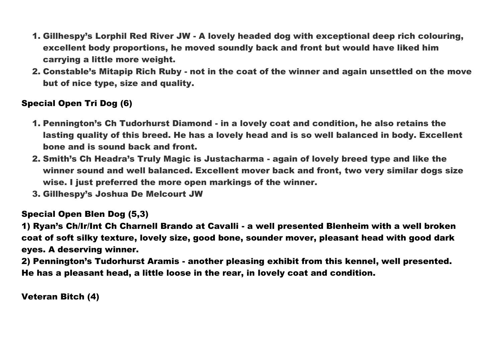- 1. Gillhespy's Lorphil Red River JW A lovely headed dog with exceptional deep rich colouring, excellent body proportions, he moved soundly back and front but would have liked him carrying a little more weight.
- 2. Constable's Mitapip Rich Ruby not in the coat of the winner and again unsettled on the move but of nice type, size and quality.

# Special Open Tri Dog (6)

- 1. Pennington's Ch Tudorhurst Diamond in a lovely coat and condition, he also retains the lasting quality of this breed. He has a lovely head and is so well balanced in body. Excellent bone and is sound back and front.
- 2. Smith's Ch Headra's Truly Magic is Justacharma again of lovely breed type and like the winner sound and well balanced. Excellent mover back and front, two very similar dogs size wise. I just preferred the more open markings of the winner.
- 3. Gillhespy's Joshua De Melcourt JW

### Special Open Blen Dog (5,3)

1) Ryan's Ch/Ir/Int Ch Charnell Brando at Cavalli - a well presented Blenheim with a well broken coat of soft silky texture, lovely size, good bone, sounder mover, pleasant head with good dark eyes. A deserving winner.

2) Pennington's Tudorhurst Aramis - another pleasing exhibit from this kennel, well presented. He has a pleasant head, a little loose in the rear, in lovely coat and condition.

Veteran Bitch (4)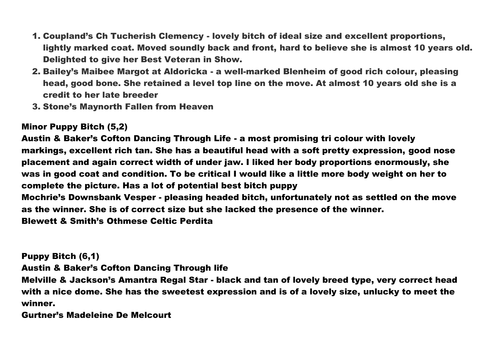- 1. Coupland's Ch Tucherish Clemency lovely bitch of ideal size and excellent proportions, lightly marked coat. Moved soundly back and front, hard to believe she is almost 10 years old. Delighted to give her Best Veteran in Show.
- 2. Bailey's Maibee Margot at Aldoricka a well-marked Blenheim of good rich colour, pleasing head, good bone. She retained a level top line on the move. At almost 10 years old she is a credit to her late breeder
- 3. Stone's Maynorth Fallen from Heaven

# Minor Puppy Bitch (5,2)

Austin & Baker's Cofton Dancing Through Life - a most promising tri colour with lovely markings, excellent rich tan. She has a beautiful head with a soft pretty expression, good nose placement and again correct width of under jaw. I liked her body proportions enormously, she was in good coat and condition. To be critical I would like a little more body weight on her to complete the picture. Has a lot of potential best bitch puppy Mochrie's Downsbank Vesper - pleasing headed bitch, unfortunately not as settled on the move as the winner. She is of correct size but she lacked the presence of the winner. Blewett & Smith's Othmese Celtic Perdita

Puppy Bitch (6,1)

Austin & Baker's Cofton Dancing Through life

Melville & Jackson's Amantra Regal Star - black and tan of lovely breed type, very correct head with a nice dome. She has the sweetest expression and is of a lovely size, unlucky to meet the winner.

Gurtner's Madeleine De Melcourt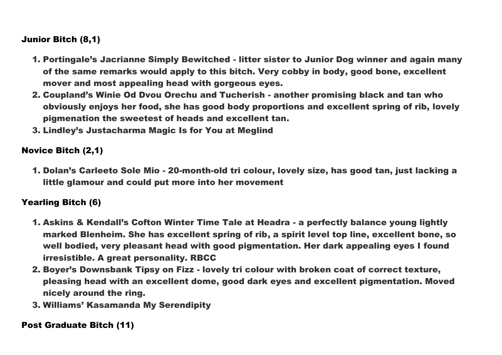# Junior Bitch (8,1)

- 1. Portingale's Jacrianne Simply Bewitched litter sister to Junior Dog winner and again many of the same remarks would apply to this bitch. Very cobby in body, good bone, excellent mover and most appealing head with gorgeous eyes.
- 2. Coupland's Winie Od Dvou Orechu and Tucherish another promising black and tan who obviously enjoys her food, she has good body proportions and excellent spring of rib, lovely pigmenation the sweetest of heads and excellent tan.
- 3. Lindley's Justacharma Magic Is for You at Meglind

## Novice Bitch (2,1)

1. Dolan's Carleeto Sole Mio - 20-month-old tri colour, lovely size, has good tan, just lacking a little glamour and could put more into her movement

### Yearling Bitch (6)

- 1. Askins & Kendall's Cofton Winter Time Tale at Headra a perfectly balance young lightly marked Blenheim. She has excellent spring of rib, a spirit level top line, excellent bone, so well bodied, very pleasant head with good pigmentation. Her dark appealing eyes I found irresistible. A great personality. RBCC
- 2. Boyer's Downsbank Tipsy on Fizz lovely tri colour with broken coat of correct texture, pleasing head with an excellent dome, good dark eyes and excellent pigmentation. Moved nicely around the ring.
- 3. Williams' Kasamanda My Serendipity

### Post Graduate Bitch (11)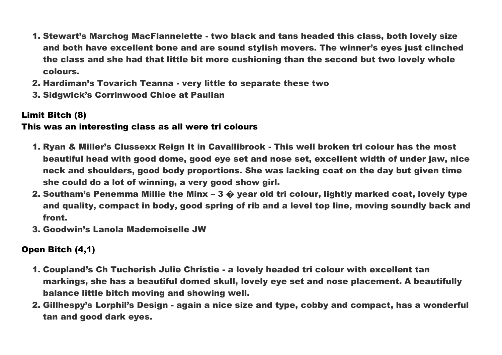- 1. Stewart's Marchog MacFlannelette two black and tans headed this class, both lovely size and both have excellent bone and are sound stylish movers. The winner's eyes just clinched the class and she had that little bit more cushioning than the second but two lovely whole colours.
- 2. Hardiman's Tovarich Teanna very little to separate these two
- 3. Sidgwick's Corrinwood Chloe at Paulian

# Limit Bitch (8)

### This was an interesting class as all were tri colours

- 1. Ryan & Miller's Clussexx Reign It in Cavallibrook This well broken tri colour has the most beautiful head with good dome, good eye set and nose set, excellent width of under jaw, nice neck and shoulders, good body proportions. She was lacking coat on the day but given time she could do a lot of winning, a very good show girl.
- 2. Southam's Penemma Millie the Minx 3  $\hat{\mathbf{Q}}$  year old tri colour, lightly marked coat, lovely type and quality, compact in body, good spring of rib and a level top line, moving soundly back and front.
- 3. Goodwin's Lanola Mademoiselle JW

# Open Bitch (4,1)

- 1. Coupland's Ch Tucherish Julie Christie a lovely headed tri colour with excellent tan markings, she has a beautiful domed skull, lovely eye set and nose placement. A beautifully balance little bitch moving and showing well.
- 2. Gillhespy's Lorphil's Design again a nice size and type, cobby and compact, has a wonderful tan and good dark eyes.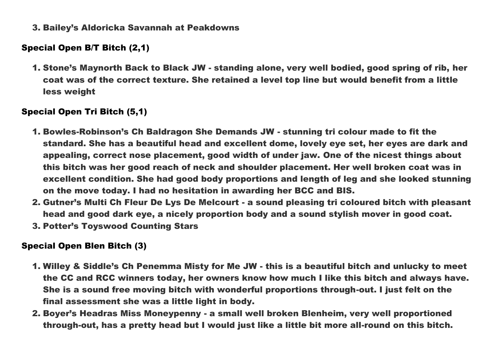3. Bailey's Aldoricka Savannah at Peakdowns

# Special Open B/T Bitch (2,1)

1. Stone's Maynorth Back to Black JW - standing alone, very well bodied, good spring of rib, her coat was of the correct texture. She retained a level top line but would benefit from a little less weight

# Special Open Tri Bitch (5,1)

- 1. Bowles-Robinson's Ch Baldragon She Demands JW stunning tri colour made to fit the standard. She has a beautiful head and excellent dome, lovely eye set, her eyes are dark and appealing, correct nose placement, good width of under jaw. One of the nicest things about this bitch was her good reach of neck and shoulder placement. Her well broken coat was in excellent condition. She had good body proportions and length of leg and she looked stunning on the move today. I had no hesitation in awarding her BCC and BIS.
- 2. Gutner's Multi Ch Fleur De Lys De Melcourt a sound pleasing tri coloured bitch with pleasant head and good dark eye, a nicely proportion body and a sound stylish mover in good coat.
- 3. Potter's Toyswood Counting Stars

# Special Open Blen Bitch (3)

- 1. Willey & Siddle's Ch Penemma Misty for Me JW this is a beautiful bitch and unlucky to meet the CC and RCC winners today, her owners know how much I like this bitch and always have. She is a sound free moving bitch with wonderful proportions through-out. I just felt on the final assessment she was a little light in body.
- 2. Boyer's Headras Miss Moneypenny a small well broken Blenheim, very well proportioned through-out, has a pretty head but I would just like a little bit more all-round on this bitch.